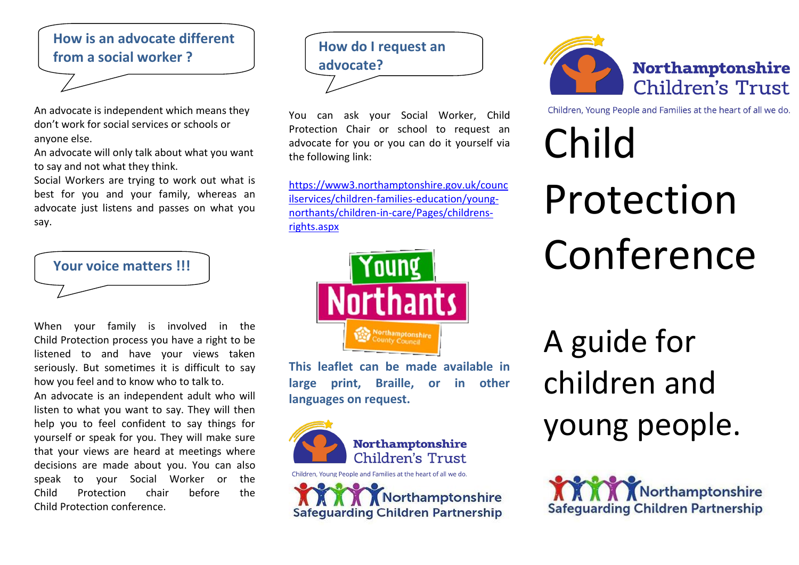# **How is an advocate different from a social worker ?**

An advocate is independent which means they don't work for social services or schools or anyone else.

An advocate will only talk about what you want to say and not what they think.

Social Workers are trying to work out what is best for you and your family, whereas an advocate just listens and passes on what you say.



When your family is involved in the Child Protection process you have a right to be listened to and have your views taken seriously. But sometimes it is difficult to say how you feel and to know who to talk to.

An advocate is an independent adult who will listen to what you want to say. They will then help you to feel confident to say things for yourself or speak for you. They will make sure that your views are heard at meetings where decisions are made about you. You can also speak to your Social Worker or the Child Protection chair before the Child Protection conference.



You can ask your Social Worker, Child Protection Chair or school to request an advocate for you or you can do it yourself via the following link:

[https://www3.northamptonshire.gov.uk/counc](https://www3.northamptonshire.gov.uk/councilservices/children-families-education/young-northants/children-in-care/Pages/childrens-rights.aspx) [ilservices/children-families-education/young](https://www3.northamptonshire.gov.uk/councilservices/children-families-education/young-northants/children-in-care/Pages/childrens-rights.aspx)[northants/children-in-care/Pages/childrens](https://www3.northamptonshire.gov.uk/councilservices/children-families-education/young-northants/children-in-care/Pages/childrens-rights.aspx)[rights.aspx](https://www3.northamptonshire.gov.uk/councilservices/children-families-education/young-northants/children-in-care/Pages/childrens-rights.aspx)



**This leaflet can be made available in large print, Braille, or in other languages on request.**



Northamptonshire **Safequarding Children Partnership** 



Children, Young People and Families at the heart of all we do.

# Child Protection Conference

A guide for children and young people.